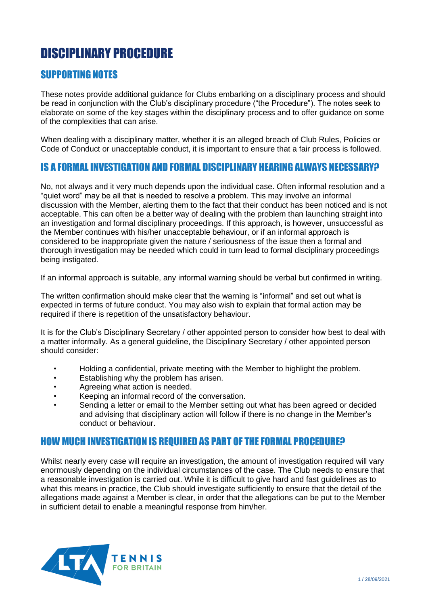# DISCIPLINARY PROCEDURE

# SUPPORTING NOTES

These notes provide additional guidance for Clubs embarking on a disciplinary process and should be read in conjunction with the Club's disciplinary procedure ("the Procedure"). The notes seek to elaborate on some of the key stages within the disciplinary process and to offer guidance on some of the complexities that can arise.

When dealing with a disciplinary matter, whether it is an alleged breach of Club Rules, Policies or Code of Conduct or unacceptable conduct, it is important to ensure that a fair process is followed.

### IS A FORMAL INVESTIGATION AND FORMAL DISCIPLINARY HEARING ALWAYS NECESSARY?

No, not always and it very much depends upon the individual case. Often informal resolution and a "quiet word" may be all that is needed to resolve a problem. This may involve an informal discussion with the Member, alerting them to the fact that their conduct has been noticed and is not acceptable. This can often be a better way of dealing with the problem than launching straight into an investigation and formal disciplinary proceedings. If this approach, is however, unsuccessful as the Member continues with his/her unacceptable behaviour, or if an informal approach is considered to be inappropriate given the nature / seriousness of the issue then a formal and thorough investigation may be needed which could in turn lead to formal disciplinary proceedings being instigated.

If an informal approach is suitable, any informal warning should be verbal but confirmed in writing.

The written confirmation should make clear that the warning is "informal" and set out what is expected in terms of future conduct. You may also wish to explain that formal action may be required if there is repetition of the unsatisfactory behaviour.

It is for the Club's Disciplinary Secretary / other appointed person to consider how best to deal with a matter informally. As a general guideline, the Disciplinary Secretary / other appointed person should consider:

- Holding a confidential, private meeting with the Member to highlight the problem.
- Establishing why the problem has arisen.
- Agreeing what action is needed.
- Keeping an informal record of the conversation.
- Sending a letter or email to the Member setting out what has been agreed or decided and advising that disciplinary action will follow if there is no change in the Member's conduct or behaviour.

#### HOW MUCH INVESTIGATION IS REQUIRED AS PART OF THE FORMAL PROCEDURE?

Whilst nearly every case will require an investigation, the amount of investigation required will vary enormously depending on the individual circumstances of the case. The Club needs to ensure that a reasonable investigation is carried out. While it is difficult to give hard and fast guidelines as to what this means in practice, the Club should investigate sufficiently to ensure that the detail of the allegations made against a Member is clear, in order that the allegations can be put to the Member in sufficient detail to enable a meaningful response from him/her.

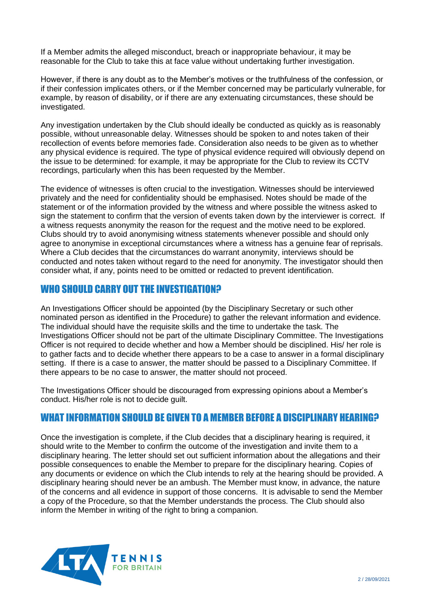If a Member admits the alleged misconduct, breach or inappropriate behaviour, it may be reasonable for the Club to take this at face value without undertaking further investigation.

However, if there is any doubt as to the Member's motives or the truthfulness of the confession, or if their confession implicates others, or if the Member concerned may be particularly vulnerable, for example, by reason of disability, or if there are any extenuating circumstances, these should be investigated.

Any investigation undertaken by the Club should ideally be conducted as quickly as is reasonably possible, without unreasonable delay. Witnesses should be spoken to and notes taken of their recollection of events before memories fade. Consideration also needs to be given as to whether any physical evidence is required. The type of physical evidence required will obviously depend on the issue to be determined: for example, it may be appropriate for the Club to review its CCTV recordings, particularly when this has been requested by the Member.

The evidence of witnesses is often crucial to the investigation. Witnesses should be interviewed privately and the need for confidentiality should be emphasised. Notes should be made of the statement or of the information provided by the witness and where possible the witness asked to sign the statement to confirm that the version of events taken down by the interviewer is correct. If a witness requests anonymity the reason for the request and the motive need to be explored. Clubs should try to avoid anonymising witness statements whenever possible and should only agree to anonymise in exceptional circumstances where a witness has a genuine fear of reprisals. Where a Club decides that the circumstances do warrant anonymity, interviews should be conducted and notes taken without regard to the need for anonymity. The investigator should then consider what, if any, points need to be omitted or redacted to prevent identification.

#### WHO SHOULD CARRY OUT THE INVESTIGATION?

An Investigations Officer should be appointed (by the Disciplinary Secretary or such other nominated person as identified in the Procedure) to gather the relevant information and evidence. The individual should have the requisite skills and the time to undertake the task. The Investigations Officer should not be part of the ultimate Disciplinary Committee. The Investigations Officer is not required to decide whether and how a Member should be disciplined. His/ her role is to gather facts and to decide whether there appears to be a case to answer in a formal disciplinary setting. If there is a case to answer, the matter should be passed to a Disciplinary Committee. If there appears to be no case to answer, the matter should not proceed.

The Investigations Officer should be discouraged from expressing opinions about a Member's conduct. His/her role is not to decide guilt.

# WHAT INFORMATION SHOULD BE GIVEN TO A MEMBER BEFORE A DISCIPLINARY HEARING?

Once the investigation is complete, if the Club decides that a disciplinary hearing is required, it should write to the Member to confirm the outcome of the investigation and invite them to a disciplinary hearing. The letter should set out sufficient information about the allegations and their possible consequences to enable the Member to prepare for the disciplinary hearing. Copies of any documents or evidence on which the Club intends to rely at the hearing should be provided. A disciplinary hearing should never be an ambush. The Member must know, in advance, the nature of the concerns and all evidence in support of those concerns. It is advisable to send the Member a copy of the Procedure, so that the Member understands the process. The Club should also inform the Member in writing of the right to bring a companion.

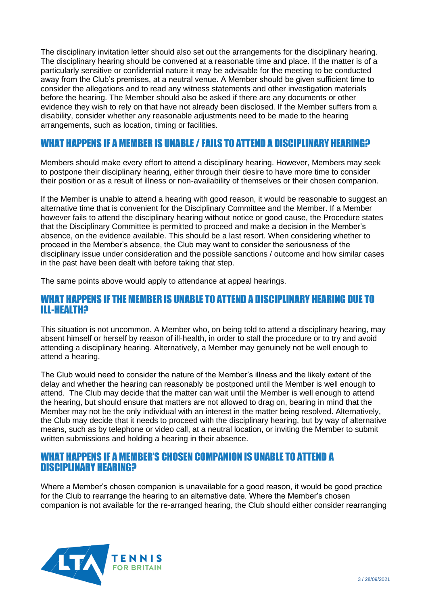The disciplinary invitation letter should also set out the arrangements for the disciplinary hearing. The disciplinary hearing should be convened at a reasonable time and place. If the matter is of a particularly sensitive or confidential nature it may be advisable for the meeting to be conducted away from the Club's premises, at a neutral venue. A Member should be given sufficient time to consider the allegations and to read any witness statements and other investigation materials before the hearing. The Member should also be asked if there are any documents or other evidence they wish to rely on that have not already been disclosed. If the Member suffers from a disability, consider whether any reasonable adjustments need to be made to the hearing arrangements, such as location, timing or facilities.

# WHAT HAPPENS IF A MEMBER IS UNABLE / FAILS TO ATTEND A DISCIPLINARY HEARING?

Members should make every effort to attend a disciplinary hearing. However, Members may seek to postpone their disciplinary hearing, either through their desire to have more time to consider their position or as a result of illness or non-availability of themselves or their chosen companion.

If the Member is unable to attend a hearing with good reason, it would be reasonable to suggest an alternative time that is convenient for the Disciplinary Committee and the Member. If a Member however fails to attend the disciplinary hearing without notice or good cause, the Procedure states that the Disciplinary Committee is permitted to proceed and make a decision in the Member's absence, on the evidence available. This should be a last resort. When considering whether to proceed in the Member's absence, the Club may want to consider the seriousness of the disciplinary issue under consideration and the possible sanctions / outcome and how similar cases in the past have been dealt with before taking that step.

The same points above would apply to attendance at appeal hearings.

### WHAT HAPPENS IF THE MEMBER IS UNABLE TO ATTEND A DISCIPLINARY HEARING DUE TO ILL-HEALTH?

This situation is not uncommon. A Member who, on being told to attend a disciplinary hearing, may absent himself or herself by reason of ill-health, in order to stall the procedure or to try and avoid attending a disciplinary hearing. Alternatively, a Member may genuinely not be well enough to attend a hearing.

The Club would need to consider the nature of the Member's illness and the likely extent of the delay and whether the hearing can reasonably be postponed until the Member is well enough to attend. The Club may decide that the matter can wait until the Member is well enough to attend the hearing, but should ensure that matters are not allowed to drag on, bearing in mind that the Member may not be the only individual with an interest in the matter being resolved. Alternatively, the Club may decide that it needs to proceed with the disciplinary hearing, but by way of alternative means, such as by telephone or video call, at a neutral location, or inviting the Member to submit written submissions and holding a hearing in their absence.

#### WHAT HAPPENS IF A MEMBER'S CHOSEN COMPANION IS UNABLE TO ATTEND A DISCIPLINARY HEARING?

Where a Member's chosen companion is unavailable for a good reason, it would be good practice for the Club to rearrange the hearing to an alternative date. Where the Member's chosen companion is not available for the re-arranged hearing, the Club should either consider rearranging

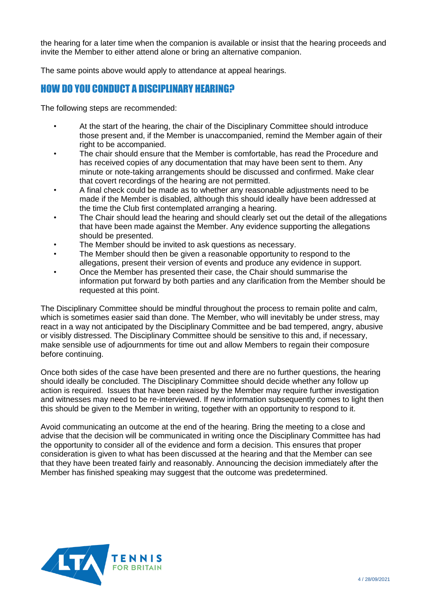the hearing for a later time when the companion is available or insist that the hearing proceeds and invite the Member to either attend alone or bring an alternative companion.

The same points above would apply to attendance at appeal hearings.

# HOW DO YOU CONDUCT A DISCIPLINARY HEARING?

The following steps are recommended:

- At the start of the hearing, the chair of the Disciplinary Committee should introduce those present and, if the Member is unaccompanied, remind the Member again of their right to be accompanied.
- The chair should ensure that the Member is comfortable, has read the Procedure and has received copies of any documentation that may have been sent to them. Any minute or note-taking arrangements should be discussed and confirmed. Make clear that covert recordings of the hearing are not permitted.
- A final check could be made as to whether any reasonable adjustments need to be made if the Member is disabled, although this should ideally have been addressed at the time the Club first contemplated arranging a hearing.
- The Chair should lead the hearing and should clearly set out the detail of the allegations that have been made against the Member. Any evidence supporting the allegations should be presented.
- The Member should be invited to ask questions as necessary.
- The Member should then be given a reasonable opportunity to respond to the allegations, present their version of events and produce any evidence in support.
- Once the Member has presented their case, the Chair should summarise the information put forward by both parties and any clarification from the Member should be requested at this point.

The Disciplinary Committee should be mindful throughout the process to remain polite and calm, which is sometimes easier said than done. The Member, who will inevitably be under stress, may react in a way not anticipated by the Disciplinary Committee and be bad tempered, angry, abusive or visibly distressed. The Disciplinary Committee should be sensitive to this and, if necessary, make sensible use of adjournments for time out and allow Members to regain their composure before continuing.

Once both sides of the case have been presented and there are no further questions, the hearing should ideally be concluded. The Disciplinary Committee should decide whether any follow up action is required. Issues that have been raised by the Member may require further investigation and witnesses may need to be re-interviewed. If new information subsequently comes to light then this should be given to the Member in writing, together with an opportunity to respond to it.

Avoid communicating an outcome at the end of the hearing. Bring the meeting to a close and advise that the decision will be communicated in writing once the Disciplinary Committee has had the opportunity to consider all of the evidence and form a decision. This ensures that proper consideration is given to what has been discussed at the hearing and that the Member can see that they have been treated fairly and reasonably. Announcing the decision immediately after the Member has finished speaking may suggest that the outcome was predetermined.

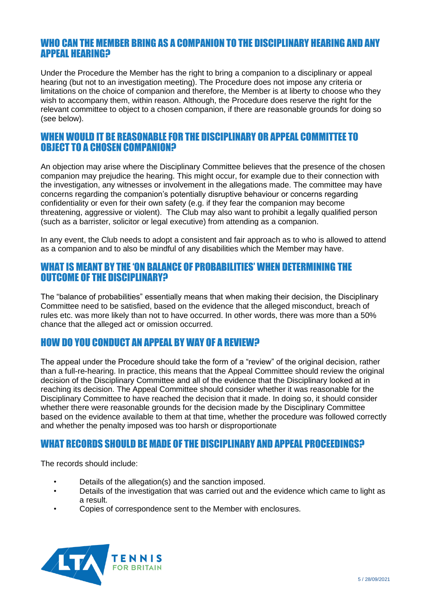#### WHO CAN THE MEMBER BRING AS A COMPANION TO THE DISCIPLINARY HEARING AND ANY APPEAL HEARING?

Under the Procedure the Member has the right to bring a companion to a disciplinary or appeal hearing (but not to an investigation meeting). The Procedure does not impose any criteria or limitations on the choice of companion and therefore, the Member is at liberty to choose who they wish to accompany them, within reason. Although, the Procedure does reserve the right for the relevant committee to object to a chosen companion, if there are reasonable grounds for doing so (see below).

### WHEN WOULD IT BE REASONABLE FOR THE DISCIPLINARY OR APPEAL COMMITTEE TO OBJECT TO A CHOSEN COMPANION?

An objection may arise where the Disciplinary Committee believes that the presence of the chosen companion may prejudice the hearing. This might occur, for example due to their connection with the investigation, any witnesses or involvement in the allegations made. The committee may have concerns regarding the companion's potentially disruptive behaviour or concerns regarding confidentiality or even for their own safety (e.g. if they fear the companion may become threatening, aggressive or violent). The Club may also want to prohibit a legally qualified person (such as a barrister, solicitor or legal executive) from attending as a companion.

In any event, the Club needs to adopt a consistent and fair approach as to who is allowed to attend as a companion and to also be mindful of any disabilities which the Member may have.

#### WHAT IS MEANT BY THE 'ON BALANCE OF PROBABILITIES' WHEN DETERMINING THE OUTCOME OF THE DISCIPLINARY?

The "balance of probabilities" essentially means that when making their decision, the Disciplinary Committee need to be satisfied, based on the evidence that the alleged misconduct, breach of rules etc. was more likely than not to have occurred. In other words, there was more than a 50% chance that the alleged act or omission occurred.

# HOW DO YOU CONDUCT AN APPEAL BY WAY OF A REVIEW?

The appeal under the Procedure should take the form of a "review" of the original decision, rather than a full-re-hearing. In practice, this means that the Appeal Committee should review the original decision of the Disciplinary Committee and all of the evidence that the Disciplinary looked at in reaching its decision. The Appeal Committee should consider whether it was reasonable for the Disciplinary Committee to have reached the decision that it made. In doing so, it should consider whether there were reasonable grounds for the decision made by the Disciplinary Committee based on the evidence available to them at that time, whether the procedure was followed correctly and whether the penalty imposed was too harsh or disproportionate

# WHAT RECORDS SHOULD BE MADE OF THE DISCIPLINARY AND APPEAL PROCEEDINGS?

The records should include:

- Details of the allegation(s) and the sanction imposed.
- Details of the investigation that was carried out and the evidence which came to light as a result.
- Copies of correspondence sent to the Member with enclosures.